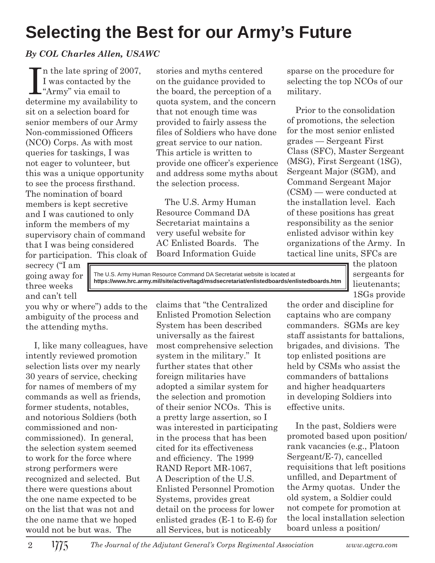## **Selecting the Best for our Army's Future**

## *By COL Charles Allen, USAWC*

 $\prod$  in the late spring of 2<br>I was contacted by the "Army" via email to n the late spring of 2007, I was contacted by the determine my availability to sit on a selection board for senior members of our Army Non-commissioned Officers (NCO) Corps. As with most queries for taskings, I was not eager to volunteer, but this was a unique opportunity to see the process firsthand. The nomination of board members is kept secretive and I was cautioned to only inform the members of my supervisory chain of command that I was being considered for participation. This cloak of

secrecy ("I am going away for three weeks and can't tell

you why or where") adds to the ambiguity of the process and the attending myths.

I, like many colleagues, have intently reviewed promotion selection lists over my nearly 30 years of service, checking for names of members of my commands as well as friends, former students, notables, and notorious Soldiers (both commissioned and noncommissioned). In general, the selection system seemed to work for the force where strong performers were recognized and selected. But there were questions about the one name expected to be on the list that was not and the one name that we hoped would not be but was. The

stories and myths centered on the guidance provided to the board, the perception of a quota system, and the concern that not enough time was provided to fairly assess the files of Soldiers who have done great service to our nation. This article is written to provide one officer's experience and address some myths about the selection process.

The U.S. Army Human Resource Command DA Secretariat maintains a very useful website for AC Enlisted Boards. The Board Information Guide

sparse on the procedure for selecting the top NCOs of our military.

Prior to the consolidation of promotions, the selection for the most senior enlisted grades — Sergeant First Class (SFC), Master Sergeant (MSG), First Sergeant (1SG), Sergeant Major (SGM), and Command Sergeant Major (CSM) — were conducted at the installation level. Each of these positions has great responsibility as the senior enlisted advisor within key organizations of the Army. In tactical line units, SFCs are

The U.S. Army Human Resource Command DA Secretariat website is located at **https://www.hrc.army.mil/site/active/tagd/msdsecretariat/enlistedboards/enlistedboards.htm** the platoon sergeants for lieutenants; 1SGs provide

claims that "the Centralized Enlisted Promotion Selection System has been described universally as the fairest most comprehensive selection system in the military." It further states that other foreign militaries have adopted a similar system for the selection and promotion of their senior NCOs. This is a pretty large assertion, so I was interested in participating in the process that has been cited for its effectiveness and efficiency. The 1999 RAND Report MR-1067, A Description of the U.S. Enlisted Personnel Promotion Systems, provides great detail on the process for lower enlisted grades (E-1 to E-6) for all Services, but is noticeably

the order and discipline for captains who are company commanders. SGMs are key staff assistants for battalions, brigades, and divisions. The top enlisted positions are held by CSMs who assist the commanders of battalions and higher headquarters in developing Soldiers into effective units.

In the past, Soldiers were promoted based upon position/ rank vacancies (e.g., Platoon Sergeant/E-7), cancelled requisitions that left positions unfilled, and Department of the Army quotas. Under the old system, a Soldier could not compete for promotion at the local installation selection board unless a position/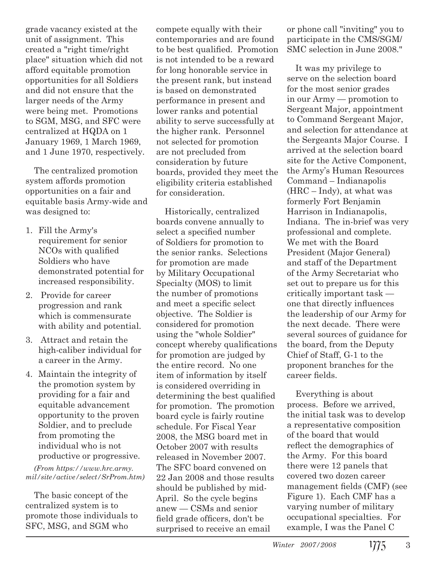grade vacancy existed at the unit of assignment. This created a "right time/right place" situation which did not afford equitable promotion opportunities for all Soldiers and did not ensure that the larger needs of the Army were being met. Promotions to SGM, MSG, and SFC were centralized at HQDA on 1 January 1969, 1 March 1969, and 1 June 1970, respectively.

The centralized promotion system affords promotion opportunities on a fair and equitable basis Army-wide and was designed to:

- 1. Fill the Army's requirement for senior NCO<sub>s</sub> with qualified Soldiers who have demonstrated potential for increased responsibility.
- 2. Provide for career progression and rank which is commensurate with ability and potential.
- 3. Attract and retain the high-caliber individual for a career in the Army.
- 4. Maintain the integrity of the promotion system by providing for a fair and equitable advancement opportunity to the proven Soldier, and to preclude from promoting the individual who is not productive or progressive.

*(From https://www.hrc.army. mil/site/active/select/SrProm.htm)*

The basic concept of the centralized system is to promote those individuals to SFC, MSG, and SGM who

compete equally with their contemporaries and are found to be best qualified. Promotion is not intended to be a reward for long honorable service in the present rank, but instead is based on demonstrated performance in present and lower ranks and potential ability to serve successfully at the higher rank. Personnel not selected for promotion are not precluded from consideration by future boards, provided they meet the eligibility criteria established for consideration.

Historically, centralized boards convene annually to select a specified number of Soldiers for promotion to the senior ranks. Selections for promotion are made by Military Occupational Specialty (MOS) to limit the number of promotions and meet a specific select objective. The Soldier is considered for promotion using the "whole Soldier" concept whereby qualifications for promotion are judged by the entire record. No one item of information by itself is considered overriding in determining the best qualified for promotion. The promotion board cycle is fairly routine schedule. For Fiscal Year 2008, the MSG board met in October 2007 with results released in November 2007. The SFC board convened on 22 Jan 2008 and those results should be published by mid-April. So the cycle begins anew — CSMs and senior field grade officers, don't be surprised to receive an email

or phone call "inviting" you to participate in the CMS/SGM/ SMC selection in June 2008."

It was my privilege to serve on the selection board for the most senior grades in our Army — promotion to Sergeant Major, appointment to Command Sergeant Major, and selection for attendance at the Sergeants Major Course. I arrived at the selection board site for the Active Component, the Army's Human Resources Command – Indianapolis  $(HRC - Indy)$ , at what was formerly Fort Benjamin Harrison in Indianapolis, Indiana. The in-brief was very professional and complete. We met with the Board President (Major General) and staff of the Department of the Army Secretariat who set out to prepare us for this critically important task one that directly influences the leadership of our Army for the next decade. There were several sources of guidance for the board, from the Deputy Chief of Staff, G-1 to the proponent branches for the career fields.

Everything is about process. Before we arrived, the initial task was to develop a representative composition of the board that would reflect the demographics of the Army. For this board there were 12 panels that covered two dozen career management fields (CMF) (see Figure 1). Each CMF has a varying number of military occupational specialties. For example, I was the Panel C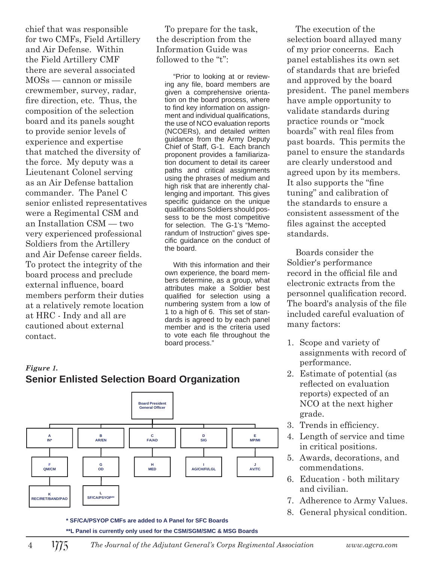chief that was responsible for two CMFs, Field Artillery and Air Defense. Within the Field Artillery CMF there are several associated MOSs — cannon or missile crewmember, survey, radar, fire direction, etc. Thus, the composition of the selection board and its panels sought to provide senior levels of experience and expertise that matched the diversity of the force. My deputy was a Lieutenant Colonel serving as an Air Defense battalion commander. The Panel C senior enlisted representatives were a Regimental CSM and an Installation CSM — two very experienced professional Soldiers from the Artillery and Air Defense career fields. To protect the integrity of the board process and preclude external influence, board members perform their duties at a relatively remote location at HRC - Indy and all are cautioned about external contact.

To prepare for the task, the description from the Information Guide was followed to the "t":

"Prior to looking at or reviewing any file, board members are given a comprehensive orientation on the board process, where to find key information on assignment and individual qualifications, the use of NCO evaluation reports (NCOERs), and detailed written guidance from the Army Deputy Chief of Staff, G-1. Each branch proponent provides a familiarization document to detail its career paths and critical assignments using the phrases of medium and high risk that are inherently challenging and important. This gives specific guidance on the unique qualifications Soldiers should possess to be the most competitive for selection. The G-1's "Memorandum of Instruction" gives specific guidance on the conduct of the board.

With this information and their own experience, the board members determine, as a group, what attributes make a Soldier best qualified for selection using a numbering system from a low of 1 to a high of 6. This set of standards is agreed to by each panel member and is the criteria used to vote each file throughout the board process."

The execution of the selection board allayed many of my prior concerns. Each panel establishes its own set of standards that are briefed and approved by the board president. The panel members have ample opportunity to validate standards during practice rounds or "mock boards" with real files from past boards. This permits the panel to ensure the standards are clearly understood and agreed upon by its members. It also supports the "fine" tuning" and calibration of the standards to ensure a consistent assessment of the files against the accepted standards.

Boards consider the Soldier's performance record in the official file and electronic extracts from the personnel qualification record. The board's analysis of the file included careful evaluation of many factors:

- 1. Scope and variety of assignments with record of performance.
- 2. Estimate of potential (as reflected on evaluation reports) expected of an NCO at the next higher grade.
- 3. Trends in efficiency.
- 4. Length of service and time in critical positions.
- 5. Awards, decorations, and commendations.
- 6. Education both military and civilian.
- 7. Adherence to Army Values.
- 8. General physical condition.

## *Figure 1.* **Senior Enlisted Selection Board Organization**



**\*\*L Panel is currently only used for the CSM/SGM/SMC & MSG Boards**